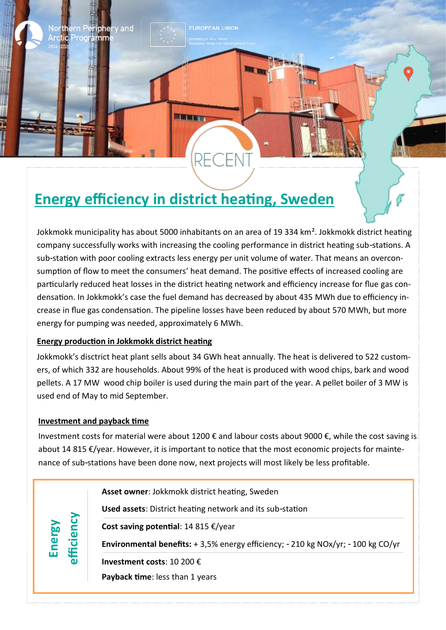# **Energy efficiency in district heating, Sweden**

 $P_{\text{L}}$ 

RE

Jokkmokk municipality has about 5000 inhabitants on an area of 19 334 km<sup>2</sup>. Jokkmokk district heating company successfully works with increasing the cooling performance in district heating sub-stations. A sub-station with poor cooling extracts less energy per unit volume of water. That means an overconsumption of flow to meet the consumers' heat demand. The positive effects of increased cooling are particularly reduced heat losses in the district heating network and efficiency increase for flue gas condensation. In Jokkmokk's case the fuel demand has decreased by about 435 MWh due to efficiency increase in flue gas condensation. The pipeline losses have been reduced by about 570 MWh, but more energy for pumping was needed, approximately 6 MWh.

**UROPEAN UNION** 

# **Energy production in Jokkmokk district heating**

'y and

mm

Jokkmokk's disctrict heat plant sells about 34 GWh heat annually. The heat is delivered to 522 customers, of which 332 are households. About 99% of the heat is produced with wood chips, bark and wood pellets. A 17 MW wood chip boiler is used during the main part of the year. A pellet boiler of 3 MW is used end of May to mid September.

## **Investment and payback time**

Investment costs for material were about 1200 € and labour costs about 9000 €, while the cost saving is about 14 815 €/year. However, it is important to notice that the most economic projects for maintenance of sub-stations have been done now, next projects will most likely be less profitable.

**Energy**<br>fficiency **Asset owner**: Jokkmokk district heating, Sweden **Used assets**: District heating network and its sub-station **Cost saving potential**: 14 815 €/year **Environmental benefits:** + 3,5% energy efficiency; - 210 kg NOx/yr; - 100 kg CO/yr **Investment costs**: 10 200 € **Payback time**: less than 1 years